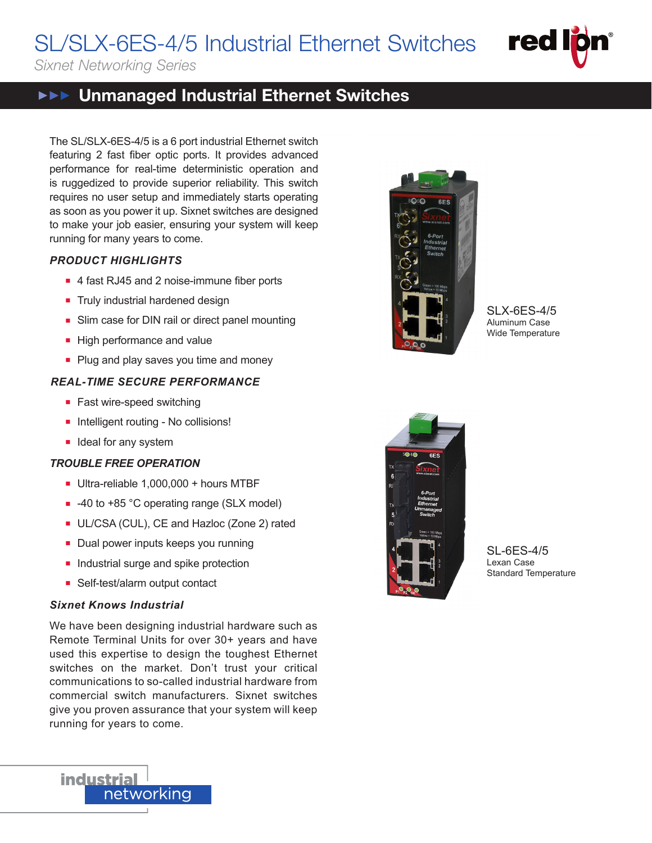*6 PORT INDUSTRIAL ETHERNET UNMANAGED SWITCH*



*Sixnet Networking Series*

#### Unmanaged Industrial Ethernet Switches  $\blacktriangleright \blacktriangleright \blacktriangleright$

The SL/SLX-6ES-4/5 is a 6 port industrial Ethernet switch featuring 2 fast fiber optic ports. It provides advanced performance for real-time deterministic operation and is ruggedized to provide superior reliability. This switch requires no user setup and immediately starts operating as soon as you power it up. Sixnet switches are designed to make your job easier, ensuring your system will keep running for many years to come.

# *PRODUCT HIGHLIGHTS*

- 4 fast RJ45 and 2 noise-immune fiber ports
- **n** Truly industrial hardened design
- Slim case for DIN rail or direct panel mounting
- High performance and value
- Plug and play saves you time and money

# *REAL-TIME SECURE PERFORMANCE*

- Fast wire-speed switching
- n Intelligent routing No collisions!
- $\blacksquare$  Ideal for any system

# *TROUBLE FREE OPERATION*

- $\blacksquare$  Ultra-reliable 1,000,000 + hours MTBF
- -40 to +85 °C operating range (SLX model)
- **UL/CSA (CUL), CE and Hazloc (Zone 2) rated**
- **Dual power inputs keeps you running**
- n Industrial surge and spike protection
- Self-test/alarm output contact

# *Sixnet Knows Industrial*

We have been designing industrial hardware such as Remote Terminal Units for over 30+ years and have used this expertise to design the toughest Ethernet switches on the market. Don't trust your critical communications to so-called industrial hardware from commercial switch manufacturers. Sixnet switches give you proven assurance that your system will keep running for years to come.



SLX-6ES-4/5 Aluminum Case Wide Temperature



SL-6ES-4/5 Lexan Case Standard Temperature